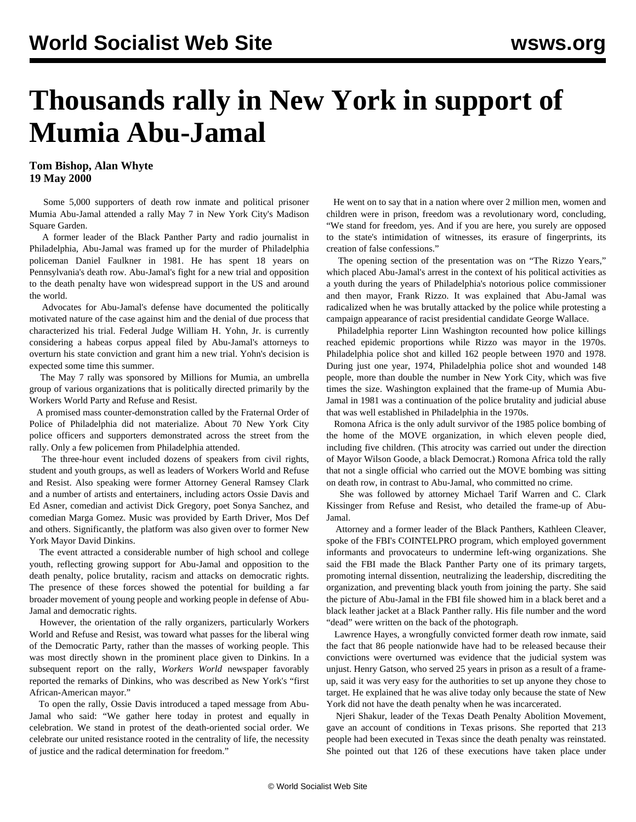## **Thousands rally in New York in support of Mumia Abu-Jamal**

**Tom Bishop, Alan Whyte 19 May 2000**

 Some 5,000 supporters of death row inmate and political prisoner Mumia Abu-Jamal attended a rally May 7 in New York City's Madison Square Garden.

 A former leader of the Black Panther Party and radio journalist in Philadelphia, Abu-Jamal was framed up for the murder of Philadelphia policeman Daniel Faulkner in 1981. He has spent 18 years on Pennsylvania's death row. Abu-Jamal's fight for a new trial and opposition to the death penalty have won widespread support in the US and around the world.

 Advocates for Abu-Jamal's defense have documented the politically motivated nature of the case against him and the denial of due process that characterized his trial. Federal Judge William H. Yohn, Jr. is currently considering a habeas corpus appeal filed by Abu-Jamal's attorneys to overturn his state conviction and grant him a new trial. Yohn's decision is expected some time this summer.

 The May 7 rally was sponsored by Millions for Mumia, an umbrella group of various organizations that is politically directed primarily by the Workers World Party and Refuse and Resist.

 A promised mass counter-demonstration called by the Fraternal Order of Police of Philadelphia did not materialize. About 70 New York City police officers and supporters demonstrated across the street from the rally. Only a few policemen from Philadelphia attended.

 The three-hour event included dozens of speakers from civil rights, student and youth groups, as well as leaders of Workers World and Refuse and Resist. Also speaking were former Attorney General Ramsey Clark and a number of artists and entertainers, including actors Ossie Davis and Ed Asner, comedian and activist Dick Gregory, poet Sonya Sanchez, and comedian Marga Gomez. Music was provided by Earth Driver, Mos Def and others. Significantly, the platform was also given over to former New York Mayor David Dinkins.

 The event attracted a considerable number of high school and college youth, reflecting growing support for Abu-Jamal and opposition to the death penalty, police brutality, racism and attacks on democratic rights. The presence of these forces showed the potential for building a far broader movement of young people and working people in defense of Abu-Jamal and democratic rights.

 However, the orientation of the rally organizers, particularly Workers World and Refuse and Resist, was toward what passes for the liberal wing of the Democratic Party, rather than the masses of working people. This was most directly shown in the prominent place given to Dinkins. In a subsequent report on the rally, *Workers World* newspaper favorably reported the remarks of Dinkins, who was described as New York's "first African-American mayor."

 To open the rally, Ossie Davis introduced a taped message from Abu-Jamal who said: "We gather here today in protest and equally in celebration. We stand in protest of the death-oriented social order. We celebrate our united resistance rooted in the centrality of life, the necessity of justice and the radical determination for freedom."

 He went on to say that in a nation where over 2 million men, women and children were in prison, freedom was a revolutionary word, concluding, "We stand for freedom, yes. And if you are here, you surely are opposed to the state's intimidation of witnesses, its erasure of fingerprints, its creation of false confessions."

 The opening section of the presentation was on "The Rizzo Years," which placed Abu-Jamal's arrest in the context of his political activities as a youth during the years of Philadelphia's notorious police commissioner and then mayor, Frank Rizzo. It was explained that Abu-Jamal was radicalized when he was brutally attacked by the police while protesting a campaign appearance of racist presidential candidate George Wallace.

 Philadelphia reporter Linn Washington recounted how police killings reached epidemic proportions while Rizzo was mayor in the 1970s. Philadelphia police shot and killed 162 people between 1970 and 1978. During just one year, 1974, Philadelphia police shot and wounded 148 people, more than double the number in New York City, which was five times the size. Washington explained that the frame-up of Mumia Abu-Jamal in 1981 was a continuation of the police brutality and judicial abuse that was well established in Philadelphia in the 1970s.

 Romona Africa is the only adult survivor of the 1985 police bombing of the home of the MOVE organization, in which eleven people died, including five children. (This atrocity was carried out under the direction of Mayor Wilson Goode, a black Democrat.) Romona Africa told the rally that not a single official who carried out the MOVE bombing was sitting on death row, in contrast to Abu-Jamal, who committed no crime.

 She was followed by attorney Michael Tarif Warren and C. Clark Kissinger from Refuse and Resist, who detailed the frame-up of Abu-Jamal.

 Attorney and a former leader of the Black Panthers, Kathleen Cleaver, spoke of the FBI's COINTELPRO program, which employed government informants and provocateurs to undermine left-wing organizations. She said the FBI made the Black Panther Party one of its primary targets, promoting internal dissention, neutralizing the leadership, discrediting the organization, and preventing black youth from joining the party. She said the picture of Abu-Jamal in the FBI file showed him in a black beret and a black leather jacket at a Black Panther rally. His file number and the word "dead" were written on the back of the photograph.

 Lawrence Hayes, a wrongfully convicted former death row inmate, said the fact that 86 people nationwide have had to be released because their convictions were overturned was evidence that the judicial system was unjust. Henry Gatson, who served 25 years in prison as a result of a frameup, said it was very easy for the authorities to set up anyone they chose to target. He explained that he was alive today only because the state of New York did not have the death penalty when he was incarcerated.

 Njeri Shakur, leader of the Texas Death Penalty Abolition Movement, gave an account of conditions in Texas prisons. She reported that 213 people had been executed in Texas since the death penalty was reinstated. She pointed out that 126 of these executions have taken place under